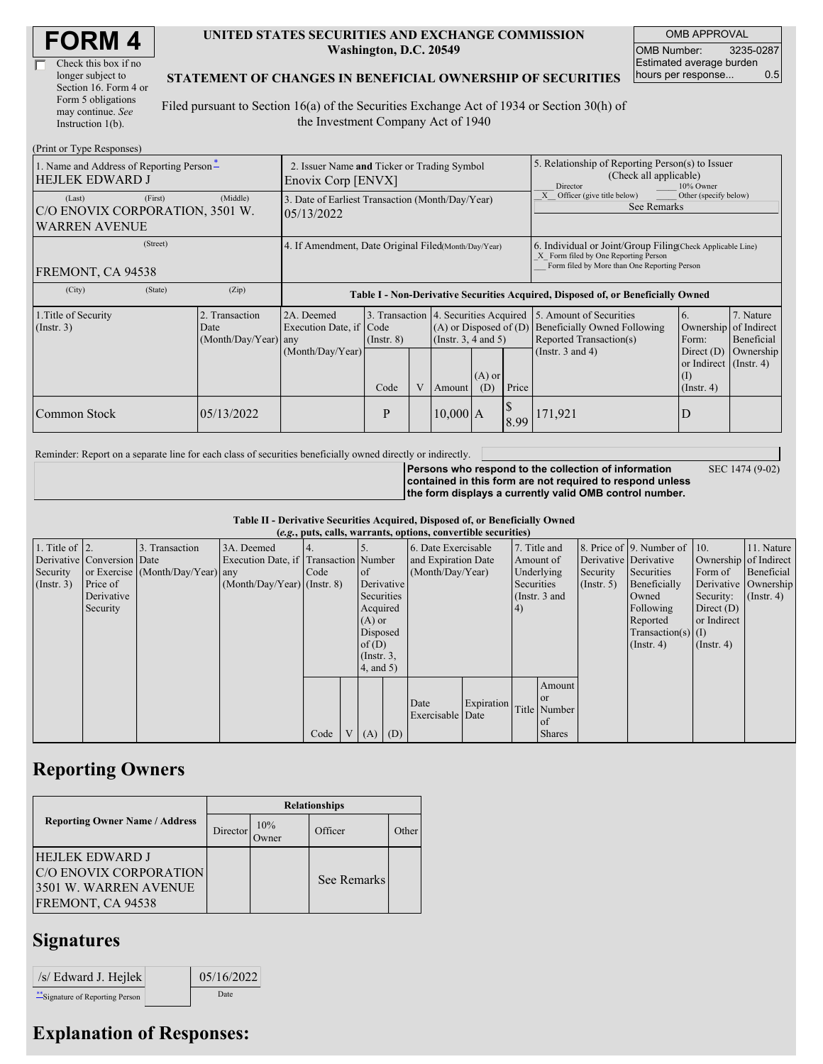| <b>FORM4</b> |
|--------------|
|--------------|

| Check this box if no  |
|-----------------------|
| longer subject to     |
| Section 16. Form 4 or |
| Form 5 obligations    |
| may continue. See     |
| Instruction 1(b).     |

### **UNITED STATES SECURITIES AND EXCHANGE COMMISSION Washington, D.C. 20549**

OMB APPROVAL OMB Number: 3235-0287 Estimated average burden hours per response... 0.5

SEC 1474 (9-02)

### **STATEMENT OF CHANGES IN BENEFICIAL OWNERSHIP OF SECURITIES**

Filed pursuant to Section 16(a) of the Securities Exchange Act of 1934 or Section 30(h) of the Investment Company Act of 1940

| (Print or Type Responses)                                                             |                                                                   |                                                                                  |                                                                          |   |                                                                |                                                                                                                                                    |                                                                                                     |                                                                                                             |                                                                                          |                                                     |  |
|---------------------------------------------------------------------------------------|-------------------------------------------------------------------|----------------------------------------------------------------------------------|--------------------------------------------------------------------------|---|----------------------------------------------------------------|----------------------------------------------------------------------------------------------------------------------------------------------------|-----------------------------------------------------------------------------------------------------|-------------------------------------------------------------------------------------------------------------|------------------------------------------------------------------------------------------|-----------------------------------------------------|--|
| 1. Name and Address of Reporting Person-<br><b>HEJLEK EDWARD J</b>                    | 2. Issuer Name and Ticker or Trading Symbol<br>Enovix Corp [ENVX] |                                                                                  |                                                                          |   |                                                                |                                                                                                                                                    | 5. Relationship of Reporting Person(s) to Issuer<br>(Check all applicable)<br>Director<br>10% Owner |                                                                                                             |                                                                                          |                                                     |  |
| (First)<br>(Last)<br>C/O ENOVIX CORPORATION, 3501 W.<br><b>WARREN AVENUE</b>          | (Middle)                                                          | 3. Date of Earliest Transaction (Month/Day/Year)<br>05/13/2022                   |                                                                          |   |                                                                |                                                                                                                                                    | Officer (give title below)<br>Other (specify below)<br>See Remarks                                  |                                                                                                             |                                                                                          |                                                     |  |
| (Street)<br>4. If Amendment, Date Original Filed(Month/Day/Year)<br>FREMONT, CA 94538 |                                                                   |                                                                                  |                                                                          |   |                                                                | 6. Individual or Joint/Group Filing Check Applicable Line)<br>X Form filed by One Reporting Person<br>Form filed by More than One Reporting Person |                                                                                                     |                                                                                                             |                                                                                          |                                                     |  |
| (State)<br>(City)                                                                     | (Zip)                                                             | Table I - Non-Derivative Securities Acquired, Disposed of, or Beneficially Owned |                                                                          |   |                                                                |                                                                                                                                                    |                                                                                                     |                                                                                                             |                                                                                          |                                                     |  |
| 1. Title of Security<br>$($ Instr. 3 $)$                                              | 2. Transaction<br>Date<br>(Month/Day/Year) any                    | 2A. Deemed<br>Execution Date, if<br>(Month/Day/Year)                             | 3. Transaction 4. Securities Acquired<br>Code<br>$($ Instr. $8)$<br>Code | V | $(A)$ or Disposed of $(D)$<br>$($ Instr. 3, 4 and 5)<br>Amount | $(A)$ or<br>(D)                                                                                                                                    | Price                                                                                               | 5. Amount of Securities<br>Beneficially Owned Following<br>Reported Transaction(s)<br>(Instr. $3$ and $4$ ) | 6.<br>Ownership<br>Form:<br>Direct $(D)$<br>or Indirect (Instr. 4)<br>(1)<br>(Insert, 4) | 7. Nature<br>of Indirect<br>Beneficial<br>Ownership |  |
| Common Stock                                                                          | 05/13/2022                                                        |                                                                                  | P                                                                        |   | $10,000$ A                                                     |                                                                                                                                                    | 8.99                                                                                                | 171,921                                                                                                     |                                                                                          |                                                     |  |

Reminder: Report on a separate line for each class of securities beneficially owned directly or indirectly.

**Persons who respond to the collection of information contained in this form are not required to respond unless the form displays a currently valid OMB control number.**

**Table II - Derivative Securities Acquired, Disposed of, or Beneficially Owned**

|                        | (e.g., puts, calls, warrants, options, convertible securities) |                                  |                                       |      |  |                  |  |                     |            |            |               |             |                              |                  |                      |          |            |         |            |                       |  |                       |  |
|------------------------|----------------------------------------------------------------|----------------------------------|---------------------------------------|------|--|------------------|--|---------------------|------------|------------|---------------|-------------|------------------------------|------------------|----------------------|----------|------------|---------|------------|-----------------------|--|-----------------------|--|
| 1. Title of $\vert$ 2. |                                                                | 3. Transaction                   | 3A. Deemed                            |      |  |                  |  | 6. Date Exercisable |            |            | 7. Title and  |             | 8. Price of 9. Number of 10. |                  | 11. Nature           |          |            |         |            |                       |  |                       |  |
|                        | Derivative Conversion Date                                     |                                  | Execution Date, if Transaction Number |      |  |                  |  | and Expiration Date |            |            |               |             |                              |                  |                      |          |            |         | Amount of  | Derivative Derivative |  | Ownership of Indirect |  |
| Security               |                                                                | or Exercise (Month/Day/Year) any |                                       | Code |  | <sub>of</sub>    |  | (Month/Day/Year)    |            |            |               |             |                              | Underlying       |                      | Security | Securities | Form of | Beneficial |                       |  |                       |  |
| $($ Instr. 3 $)$       | Price of                                                       |                                  | $(Month/Day/Year)$ (Instr. 8)         |      |  | Derivative       |  |                     |            | Securities |               | (Insert, 5) | Beneficially                 |                  | Derivative Ownership |          |            |         |            |                       |  |                       |  |
|                        | Derivative                                                     |                                  |                                       |      |  | Securities       |  |                     |            |            | (Instr. 3 and |             | Owned                        | Security:        | $($ Instr. 4)        |          |            |         |            |                       |  |                       |  |
|                        | Security                                                       |                                  |                                       |      |  | Acquired         |  |                     |            | (4)        |               |             | Following                    | Direct $(D)$     |                      |          |            |         |            |                       |  |                       |  |
|                        |                                                                |                                  |                                       |      |  | $(A)$ or         |  |                     |            |            |               |             | Reported                     | or Indirect      |                      |          |            |         |            |                       |  |                       |  |
|                        |                                                                |                                  |                                       |      |  | Disposed         |  |                     |            |            |               |             | $Transaction(s)$ (I)         |                  |                      |          |            |         |            |                       |  |                       |  |
|                        |                                                                |                                  |                                       |      |  | of(D)            |  |                     |            |            |               |             | $($ Instr. 4 $)$             | $($ Instr. 4 $)$ |                      |          |            |         |            |                       |  |                       |  |
|                        |                                                                |                                  |                                       |      |  | $($ Instr. $3$ , |  |                     |            |            |               |             |                              |                  |                      |          |            |         |            |                       |  |                       |  |
|                        |                                                                |                                  |                                       |      |  | 4, and 5)        |  |                     |            |            |               |             |                              |                  |                      |          |            |         |            |                       |  |                       |  |
|                        |                                                                |                                  |                                       |      |  |                  |  |                     |            |            | Amount        |             |                              |                  |                      |          |            |         |            |                       |  |                       |  |
|                        |                                                                |                                  |                                       |      |  |                  |  |                     |            |            | <sub>or</sub> |             |                              |                  |                      |          |            |         |            |                       |  |                       |  |
|                        |                                                                |                                  |                                       |      |  |                  |  | Date                | Expiration |            | Title Number  |             |                              |                  |                      |          |            |         |            |                       |  |                       |  |
|                        |                                                                |                                  |                                       |      |  |                  |  | Exercisable Date    |            |            | of            |             |                              |                  |                      |          |            |         |            |                       |  |                       |  |
|                        |                                                                |                                  |                                       | Code |  | $(A)$ $(D)$      |  |                     |            |            | <b>Shares</b> |             |                              |                  |                      |          |            |         |            |                       |  |                       |  |

### **Reporting Owners**

|                                                                                                | <b>Relationships</b> |                      |             |       |  |  |  |  |
|------------------------------------------------------------------------------------------------|----------------------|----------------------|-------------|-------|--|--|--|--|
| <b>Reporting Owner Name / Address</b>                                                          | Director             | 10%<br><b>)</b> wner | Officer     | Other |  |  |  |  |
| HEJLEK EDWARD J<br><b>C/O ENOVIX CORPORATION</b><br>3501 W. WARREN AVENUE<br>FREMONT, CA 94538 |                      |                      | See Remarks |       |  |  |  |  |

## **Signatures**

| $/s/$ Edward J. Hejlek         | 05/16/2022 |
|--------------------------------|------------|
| "Signature of Reporting Person | Date       |

# **Explanation of Responses:**